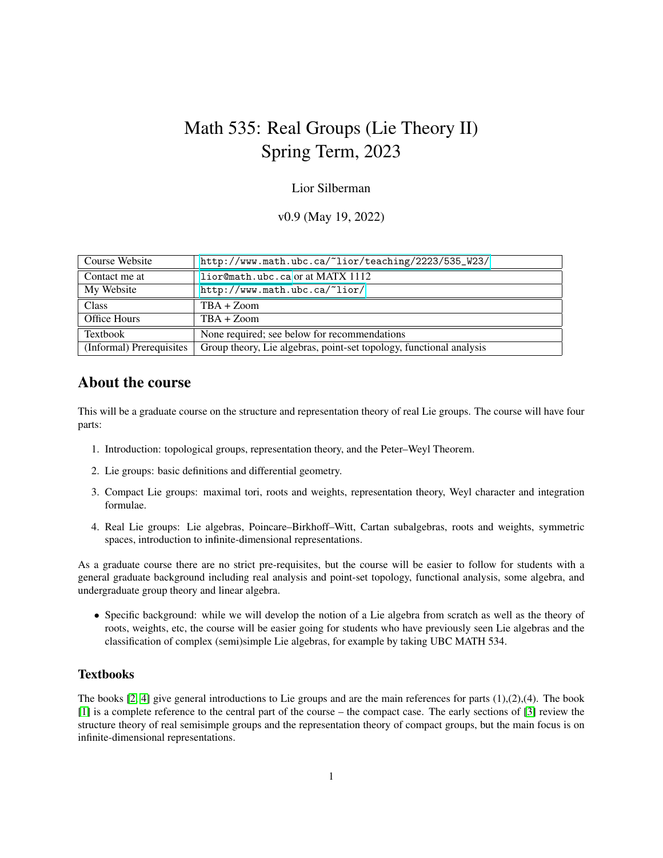# Math 535: Real Groups (Lie Theory II) Spring Term, 2023

#### Lior Silberman

v0.9 (May 19, 2022)

| Course Website           | http://www.math.ubc.ca/~lior/teaching/2223/535_W23/                 |
|--------------------------|---------------------------------------------------------------------|
| Contact me at            | $lior$ $@math>.ubc.ca$ or at MATX 1112                              |
| My Website               | http://www.math.ubc.ca/~lior/                                       |
| <b>Class</b>             | $TBA + Zoom$                                                        |
| <b>Office Hours</b>      | $TBA + Zoom$                                                        |
| Textbook                 | None required; see below for recommendations                        |
| (Informal) Prerequisites | Group theory, Lie algebras, point-set topology, functional analysis |

## About the course

This will be a graduate course on the structure and representation theory of real Lie groups. The course will have four parts:

- 1. Introduction: topological groups, representation theory, and the Peter–Weyl Theorem.
- 2. Lie groups: basic definitions and differential geometry.
- 3. Compact Lie groups: maximal tori, roots and weights, representation theory, Weyl character and integration formulae.
- 4. Real Lie groups: Lie algebras, Poincare–Birkhoff–Witt, Cartan subalgebras, roots and weights, symmetric spaces, introduction to infinite-dimensional representations.

As a graduate course there are no strict pre-requisites, but the course will be easier to follow for students with a general graduate background including real analysis and point-set topology, functional analysis, some algebra, and undergraduate group theory and linear algebra.

• Specific background: while we will develop the notion of a Lie algebra from scratch as well as the theory of roots, weights, etc, the course will be easier going for students who have previously seen Lie algebras and the classification of complex (semi)simple Lie algebras, for example by taking UBC MATH 534.

#### **Textbooks**

The books  $[2, 4]$  $[2, 4]$  give general introductions to Lie groups and are the main references for parts  $(1),(2),(4)$ . The book [\[1\]](#page-1-2) is a complete reference to the central part of the course – the compact case. The early sections of [\[3\]](#page-1-3) review the structure theory of real semisimple groups and the representation theory of compact groups, but the main focus is on infinite-dimensional representations.